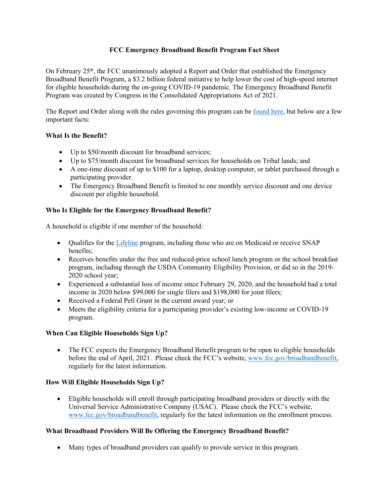### **FCC Emergency Broadband Benefit Program Fact Sheet**

On February 25th, the FCC unanimously adopted a Report and Order that established the Emergency Broadband Benefit Program, a \$3.2 billion federal initiative to help lower the cost of high-speed internet for eligible households during the on-going COVID-19 pandemic. The Emergency Broadband Benefit Program was created by Congress in the Consolidated Appropriations Act of 2021.

The Report and Order along with the rules governing this program can be [found here,](https://www.fcc.gov/document/fcc-adopts-report-and-order-emergency-broadband-benefit-program-0) but below are a few important facts:

#### **What Is the Benefit?**

- Up to \$50/month discount for broadband services;
- Up to \$75/month discount for broadband services for households on Tribal lands; and
- A one-time discount of up to \$100 for a laptop, desktop computer, or tablet purchased through a participating provider.
- The Emergency Broadband Benefit is limited to one monthly service discount and one device discount per eligible household.

#### **Who Is Eligible for the Emergency Broadband Benefit?**

A household is eligible if one member of the household:

- Qualifies for the [Lifeline](https://www.fcc.gov/lifeline-consumers) program, including those who are on Medicaid or receive SNAP benefits;
- Receives benefits under the free and reduced-price school lunch program or the school breakfast program, including through the USDA Community Eligibility Provision, or did so in the 2019- 2020 school year;
- Experienced a substantial loss of income since February 29, 2020, and the household had a total income in 2020 below \$99,000 for single filers and \$198,000 for joint filers;
- Received a Federal Pell Grant in the current award year; or
- Meets the eligibility criteria for a participating provider's existing low-income or COVID-19 program.

# **When Can Eligible Households Sign Up?**

• The FCC expects the Emergency Broadband Benefit program to be open to eligible households before the end of April, 2021. Please check the FCC's website, [www.fcc.gov/broadbandbenefit,](http://www.fcc.gov/broadbandbenefit) regularly for the latest information.

# **How Will Eligible Households Sign Up?**

 Eligible households will enroll through participating broadband providers or directly with the Universal Service Administrative Company (USAC). Please check the FCC's website, [www.fcc.gov/broadbandbenefit](http://www.fcc.gov/broadbandbenefit), regularly for the latest information on the enrollment process.

#### **What Broadband Providers Will Be Offering the Emergency Broadband Benefit?**

Many types of broadband providers can qualify to provide service in this program.